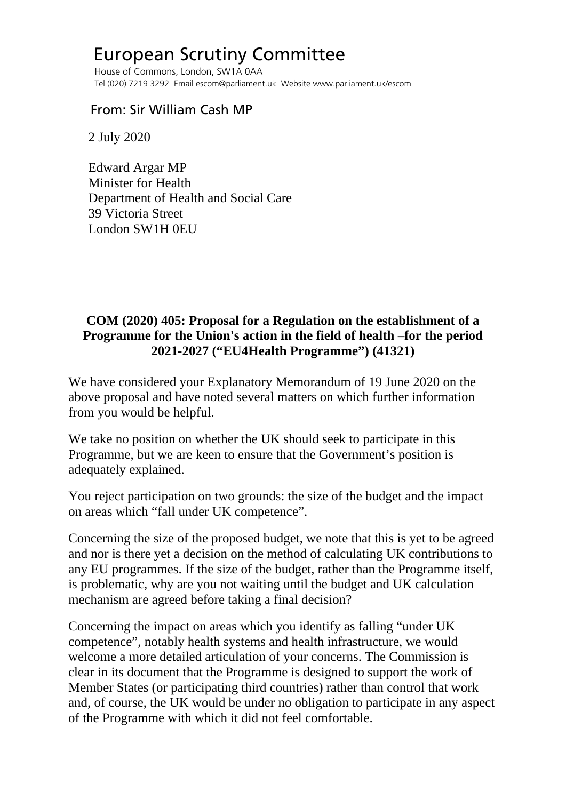## European Scrutiny Committee

 House of Commons, London, SW1A 0AA Tel (020) 7219 3292 Email escom@parliament.uk Website www.parliament.uk/escom

## From: Sir William Cash MP

2 July 2020

 Edward Argar MP Minister for Health Department of Health and Social Care 39 Victoria Street London SW1H 0EU

## **COM (2020) 405: Proposal for a Regulation on the establishment of a Programme for the Union's action in the field of health –for the period 2021-2027 ("EU4Health Programme") (41321)**

We have considered your Explanatory Memorandum of 19 June 2020 on the above proposal and have noted several matters on which further information from you would be helpful.

We take no position on whether the UK should seek to participate in this Programme, but we are keen to ensure that the Government's position is adequately explained.

You reject participation on two grounds: the size of the budget and the impact on areas which "fall under UK competence".

Concerning the size of the proposed budget, we note that this is yet to be agreed and nor is there yet a decision on the method of calculating UK contributions to any EU programmes. If the size of the budget, rather than the Programme itself, is problematic, why are you not waiting until the budget and UK calculation mechanism are agreed before taking a final decision?

Concerning the impact on areas which you identify as falling "under UK competence", notably health systems and health infrastructure, we would welcome a more detailed articulation of your concerns. The Commission is clear in its document that the Programme is designed to support the work of Member States (or participating third countries) rather than control that work and, of course, the UK would be under no obligation to participate in any aspect of the Programme with which it did not feel comfortable.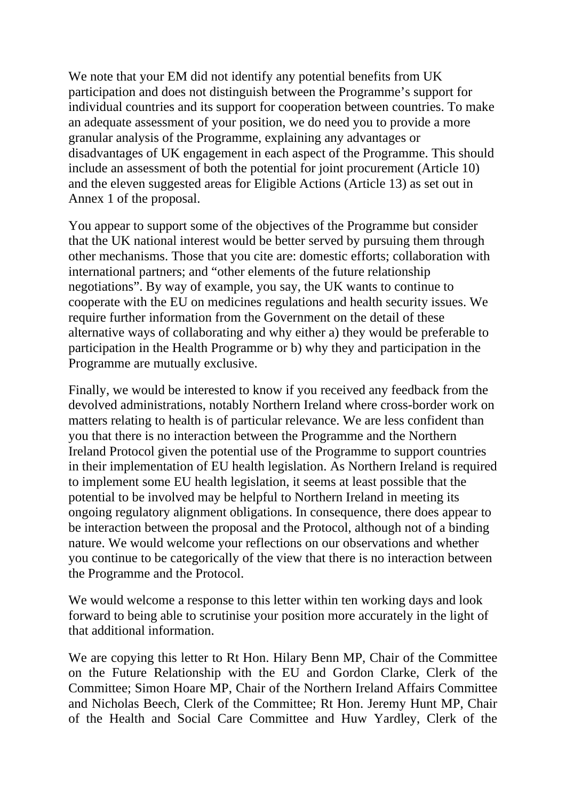We note that your EM did not identify any potential benefits from UK participation and does not distinguish between the Programme's support for individual countries and its support for cooperation between countries. To make an adequate assessment of your position, we do need you to provide a more granular analysis of the Programme, explaining any advantages or disadvantages of UK engagement in each aspect of the Programme. This should include an assessment of both the potential for joint procurement (Article 10) and the eleven suggested areas for Eligible Actions (Article 13) as set out in Annex 1 of the proposal.

You appear to support some of the objectives of the Programme but consider that the UK national interest would be better served by pursuing them through other mechanisms. Those that you cite are: domestic efforts; collaboration with international partners; and "other elements of the future relationship negotiations". By way of example, you say, the UK wants to continue to cooperate with the EU on medicines regulations and health security issues. We require further information from the Government on the detail of these alternative ways of collaborating and why either a) they would be preferable to participation in the Health Programme or b) why they and participation in the Programme are mutually exclusive.

Finally, we would be interested to know if you received any feedback from the devolved administrations, notably Northern Ireland where cross-border work on matters relating to health is of particular relevance. We are less confident than you that there is no interaction between the Programme and the Northern Ireland Protocol given the potential use of the Programme to support countries in their implementation of EU health legislation. As Northern Ireland is required to implement some EU health legislation, it seems at least possible that the potential to be involved may be helpful to Northern Ireland in meeting its ongoing regulatory alignment obligations. In consequence, there does appear to be interaction between the proposal and the Protocol, although not of a binding nature. We would welcome your reflections on our observations and whether you continue to be categorically of the view that there is no interaction between the Programme and the Protocol.

We would welcome a response to this letter within ten working days and look forward to being able to scrutinise your position more accurately in the light of that additional information.

We are copying this letter to Rt Hon. Hilary Benn MP, Chair of the Committee on the Future Relationship with the EU and Gordon Clarke, Clerk of the Committee; Simon Hoare MP, Chair of the Northern Ireland Affairs Committee and Nicholas Beech, Clerk of the Committee; Rt Hon. Jeremy Hunt MP, Chair of the Health and Social Care Committee and Huw Yardley, Clerk of the